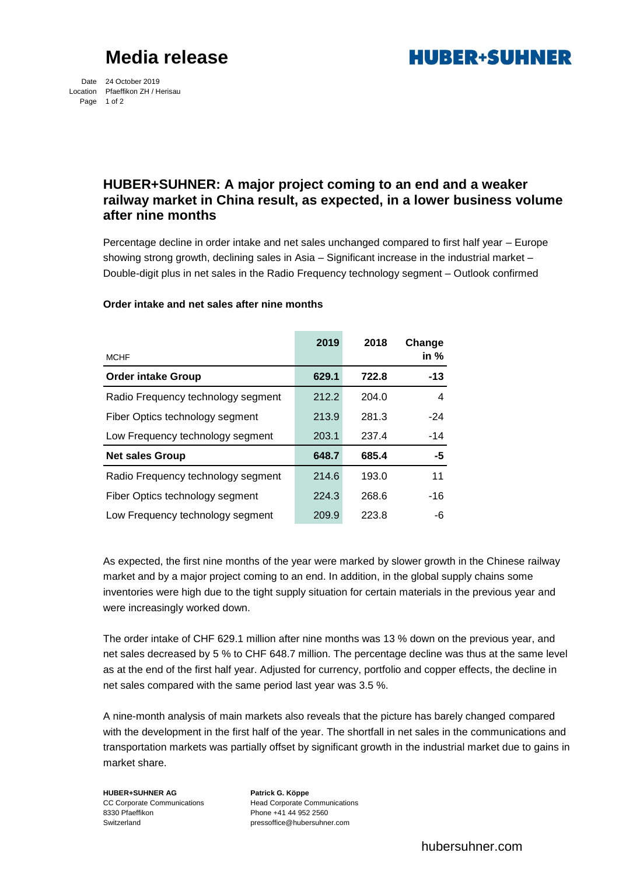# **Media release**

**HURER+SUHNER** 

Date 24 October 2019 Location Pfaeffikon ZH / Herisau Page 1 of 2

## **HUBER+SUHNER: A major project coming to an end and a weaker railway market in China result, as expected, in a lower business volume after nine months**

Percentage decline in order intake and net sales unchanged compared to first half year – Europe showing strong growth, declining sales in Asia – Significant increase in the industrial market – Double-digit plus in net sales in the Radio Frequency technology segment – Outlook confirmed

|                                    | 2019  | 2018  | Change |
|------------------------------------|-------|-------|--------|
| <b>MCHF</b>                        |       |       | in $%$ |
| <b>Order intake Group</b>          | 629.1 | 722.8 | $-13$  |
| Radio Frequency technology segment | 212.2 | 204.0 | 4      |
| Fiber Optics technology segment    | 213.9 | 281.3 | $-24$  |
| Low Frequency technology segment   | 203.1 | 237.4 | $-14$  |
| <b>Net sales Group</b>             | 648.7 | 685.4 | -5     |
| Radio Frequency technology segment | 214.6 | 193.0 | 11     |
| Fiber Optics technology segment    | 224.3 | 268.6 | -16    |
| Low Frequency technology segment   | 209.9 | 223.8 | -6     |

### **Order intake and net sales after nine months**

As expected, the first nine months of the year were marked by slower growth in the Chinese railway market and by a major project coming to an end. In addition, in the global supply chains some inventories were high due to the tight supply situation for certain materials in the previous year and were increasingly worked down.

The order intake of CHF 629.1 million after nine months was 13 % down on the previous year, and net sales decreased by 5 % to CHF 648.7 million. The percentage decline was thus at the same level as at the end of the first half year. Adjusted for currency, portfolio and copper effects, the decline in net sales compared with the same period last year was 3.5 %.

A nine-month analysis of main markets also reveals that the picture has barely changed compared with the development in the first half of the year. The shortfall in net sales in the communications and transportation markets was partially offset by significant growth in the industrial market due to gains in market share.

**HUBER+SUHNER AG Patrick G. Köppe** 8330 Pfaeffikon Phone +41 44 952 2560 Switzerland pressoffice@hubersuhner.com

CC Corporate Communications 
Head Corporate Communications

hubersuhner.com